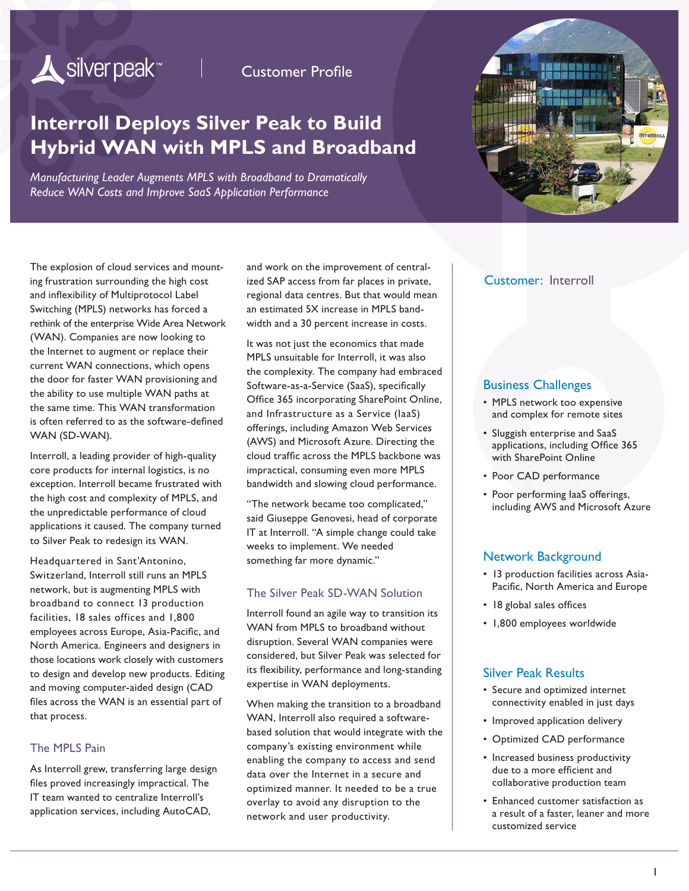# Silver peak<sup>\*\*</sup>

Customer Profile

## **Interroll Deploys Silver Peak to Build Hybrid WAN with MPLS and Broadband**

*Manufacturing Leader Augments MPLS with Broadband to Dramatically Reduce WAN Costs and Improve SaaS Application Performance*



The explosion of cloud services and mounting frustration surrounding the high cost and inflexibility of Multiprotocol Label Switching (MPLS) networks has forced a rethink of the enterprise Wide Area Network (WAN). Companies are now looking to the Internet to augment or replace their current WAN connections, which opens the door for faster WAN provisioning and the ability to use multiple WAN paths at the same time. This WAN transformation is often referred to as the software-defined WAN (SD-WAN).

Interroll, a leading provider of high-quality core products for internal logistics, is no exception. Interroll became frustrated with the high cost and complexity of MPLS, and the unpredictable performance of cloud applications it caused. The company turned to Silver Peak to redesign its WAN.

Headquartered in Sant'Antonino, Switzerland, Interroll still runs an MPLS network, but is augmenting MPLS with broadband to connect 13 production facilities, 18 sales offices and 1,800 employees across Europe, Asia-Pacific, and North America. Engineers and designers in those locations work closely with customers to design and develop new products. Editing and moving computer-aided design (CAD files across the WAN is an essential part of that process.

#### The MPLS Pain

As Interroll grew, transferring large design files proved increasingly impractical. The IT team wanted to centralize Interroll's application services, including AutoCAD,

and work on the improvement of centralized SAP access from far places in private, regional data centres. But that would mean an estimated 5X increase in MPLS bandwidth and a 30 percent increase in costs.

It was not just the economics that made MPLS unsuitable for Interroll, it was also the complexity. The company had embraced Software-as-a-Service (SaaS), specifically Office 365 incorporating SharePoint Online, and Infrastructure as a Service (IaaS) offerings, including Amazon Web Services (AWS) and Microsoft Azure. Directing the cloud traffic across the MPLS backbone was impractical, consuming even more MPLS bandwidth and slowing cloud performance.

"The network became too complicated," said Giuseppe Genovesi, head of corporate IT at Interroll. "A simple change could take weeks to implement. We needed something far more dynamic."

#### The Silver Peak SD-WAN Solution

Interroll found an agile way to transition its WAN from MPLS to broadband without disruption. Several WAN companies were considered, but Silver Peak was selected for its flexibility, performance and long-standing expertise in WAN deployments.

When making the transition to a broadband WAN, Interroll also required a softwarebased solution that would integrate with the company's existing environment while enabling the company to access and send data over the Internet in a secure and optimized manner. It needed to be a true overlay to avoid any disruption to the network and user productivity.

#### Customer: Interroll

#### Business Challenges

- MPLS network too expensive and complex for remote sites
- Sluggish enterprise and SaaS applications, including Office 365 with SharePoint Online
- Poor CAD performance
- Poor performing IaaS offerings, including AWS and Microsoft Azure

#### Network Background

- 13 production facilities across Asia-Pacific, North America and Europe
- 18 global sales offices
- 1,800 employees worldwide

#### Silver Peak Results

- Secure and optimized internet connectivity enabled in just days
- Improved application delivery
- Optimized CAD performance
- Increased business productivity due to a more efficient and collaborative production team
- Enhanced customer satisfaction as a result of a faster, leaner and more customized service